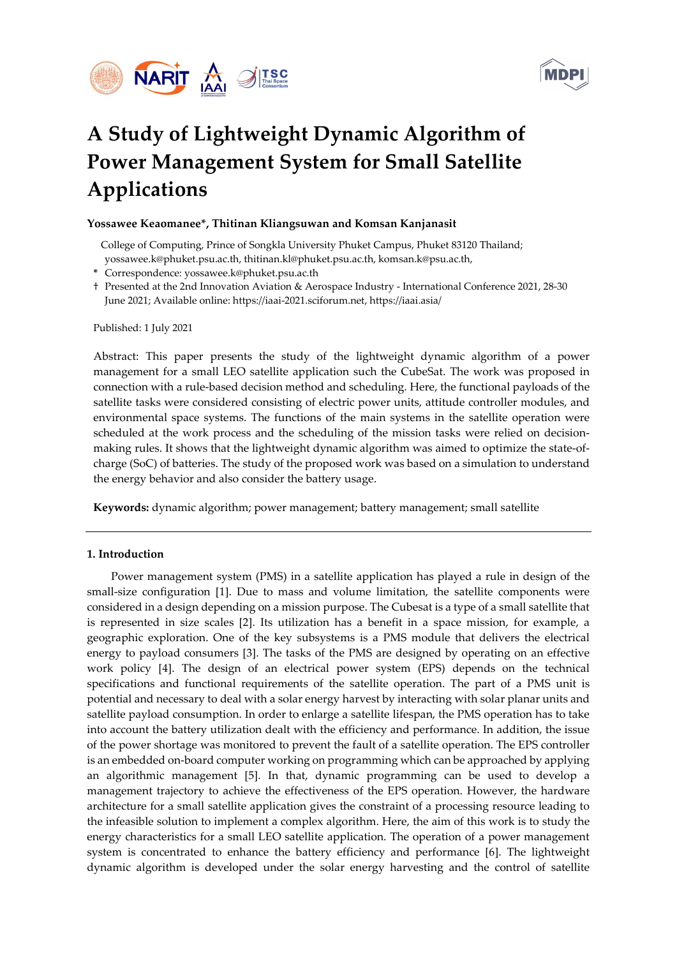



# A Study of Lightweight Dynamic Algorithm of Power Management System for Small Satellite Applications

## Yossawee Keaomanee\*, Thitinan Kliangsuwan and Komsan Kanjanasit

 College of Computing, Prince of Songkla University Phuket Campus, Phuket 83120 Thailand; yossawee.k@phuket.psu.ac.th, thitinan.kl@phuket.psu.ac.th, komsan.k@psu.ac.th,

- \* Correspondence: yossawee.k@phuket.psu.ac.th
- † Presented at the 2nd Innovation Aviation & Aerospace Industry International Conference 2021, 28-30 June 2021; Available online: https://iaai-2021.sciforum.net, https://iaai.asia/

Published: 1 July 2021

Abstract: This paper presents the study of the lightweight dynamic algorithm of a power management for a small LEO satellite application such the CubeSat. The work was proposed in connection with a rule-based decision method and scheduling. Here, the functional payloads of the satellite tasks were considered consisting of electric power units, attitude controller modules, and environmental space systems. The functions of the main systems in the satellite operation were scheduled at the work process and the scheduling of the mission tasks were relied on decisionmaking rules. It shows that the lightweight dynamic algorithm was aimed to optimize the state-ofcharge (SoC) of batteries. The study of the proposed work was based on a simulation to understand the energy behavior and also consider the battery usage.

Keywords: dynamic algorithm; power management; battery management; small satellite

#### 1. Introduction

Power management system (PMS) in a satellite application has played a rule in design of the small-size configuration [1]. Due to mass and volume limitation, the satellite components were considered in a design depending on a mission purpose. The Cubesat is a type of a small satellite that is represented in size scales [2]. Its utilization has a benefit in a space mission, for example, a geographic exploration. One of the key subsystems is a PMS module that delivers the electrical energy to payload consumers [3]. The tasks of the PMS are designed by operating on an effective work policy [4]. The design of an electrical power system (EPS) depends on the technical specifications and functional requirements of the satellite operation. The part of a PMS unit is potential and necessary to deal with a solar energy harvest by interacting with solar planar units and satellite payload consumption. In order to enlarge a satellite lifespan, the PMS operation has to take into account the battery utilization dealt with the efficiency and performance. In addition, the issue of the power shortage was monitored to prevent the fault of a satellite operation. The EPS controller is an embedded on-board computer working on programming which can be approached by applying an algorithmic management [5]. In that, dynamic programming can be used to develop a management trajectory to achieve the effectiveness of the EPS operation. However, the hardware architecture for a small satellite application gives the constraint of a processing resource leading to the infeasible solution to implement a complex algorithm. Here, the aim of this work is to study the energy characteristics for a small LEO satellite application. The operation of a power management system is concentrated to enhance the battery efficiency and performance [6]. The lightweight dynamic algorithm is developed under the solar energy harvesting and the control of satellite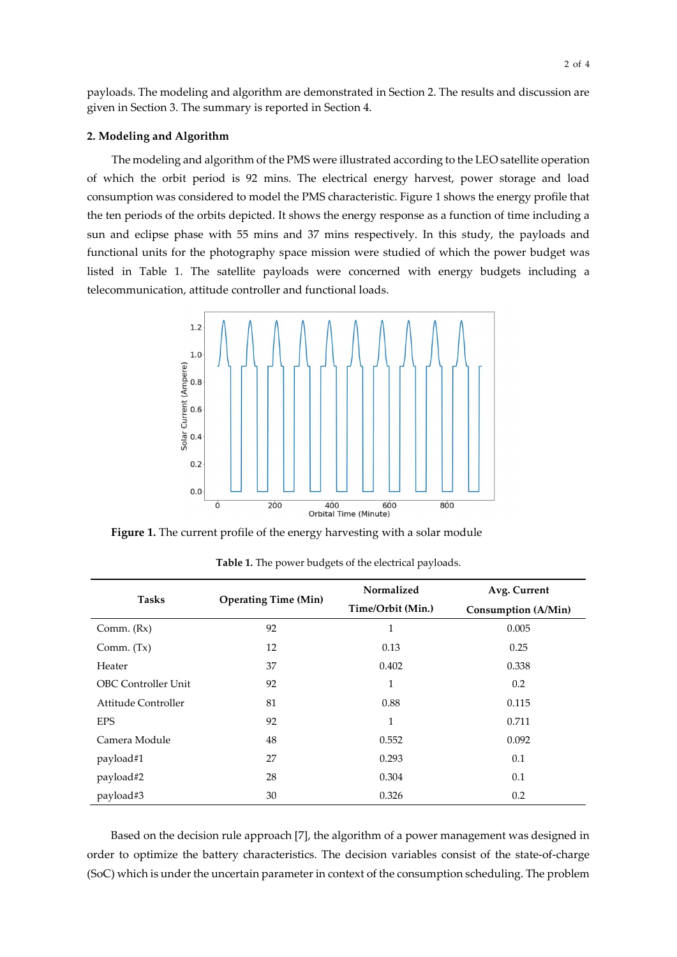payloads. The modeling and algorithm are demonstrated in Section 2. The results and discussion are given in Section 3. The summary is reported in Section 4.

#### 2. Modeling and Algorithm

The modeling and algorithm of the PMS were illustrated according to the LEO satellite operation of which the orbit period is 92 mins. The electrical energy harvest, power storage and load consumption was considered to model the PMS characteristic. Figure 1 shows the energy profile that the ten periods of the orbits depicted. It shows the energy response as a function of time including a sun and eclipse phase with 55 mins and 37 mins respectively. In this study, the payloads and functional units for the photography space mission were studied of which the power budget was listed in Table 1. The satellite payloads were concerned with energy budgets including a telecommunication, attitude controller and functional loads.



Figure 1. The current profile of the energy harvesting with a solar module

| <b>Tasks</b>               | <b>Operating Time (Min)</b> | Normalized        | Avg. Current        |
|----------------------------|-----------------------------|-------------------|---------------------|
|                            |                             | Time/Orbit (Min.) | Consumption (A/Min) |
| Comm. $(Rx)$               | 92                          | 1                 | 0.005               |
| Comm. $(Tx)$               | 12                          | 0.13              | 0.25                |
| Heater                     | 37                          | 0.402             | 0.338               |
| <b>OBC Controller Unit</b> | 92                          | 1                 | 0.2                 |
| Attitude Controller        | 81                          | 0.88              | 0.115               |
| <b>EPS</b>                 | 92                          | 1                 | 0.711               |
| Camera Module              | 48                          | 0.552             | 0.092               |
| payload#1                  | 27                          | 0.293             | 0.1                 |
| payload#2                  | 28                          | 0.304             | 0.1                 |
| payload#3                  | 30                          | 0.326             | 0.2                 |

Table 1. The power budgets of the electrical payloads.

Based on the decision rule approach [7], the algorithm of a power management was designed in order to optimize the battery characteristics. The decision variables consist of the state-of-charge (SoC) which is under the uncertain parameter in context of the consumption scheduling. The problem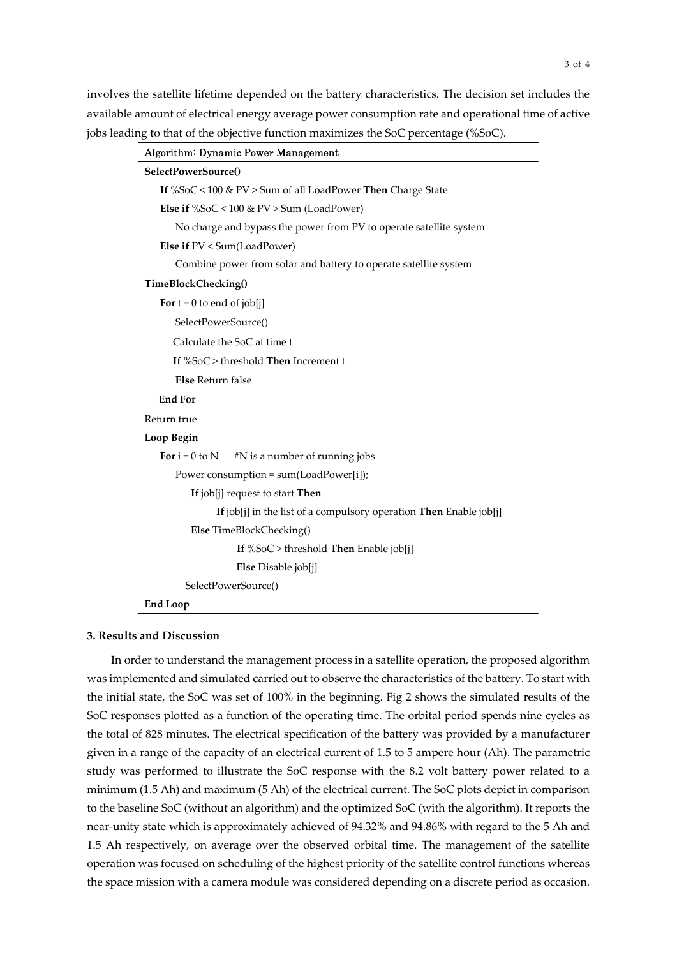involves the satellite lifetime depended on the battery characteristics. The decision set includes the available amount of electrical energy average power consumption rate and operational time of active jobs leading to that of the objective function maximizes the SoC percentage (%SoC).

|                              | Algorithm: Dynamic Power Management                                |
|------------------------------|--------------------------------------------------------------------|
| SelectPowerSource()          |                                                                    |
|                              | If %SoC < 100 & PV > Sum of all LoadPower Then Charge State        |
|                              | Else if $%$ SoC < 100 & PV > Sum (LoadPower)                       |
|                              | No charge and bypass the power from PV to operate satellite system |
|                              | Else if PV < Sum(LoadPower)                                        |
|                              | Combine power from solar and battery to operate satellite system   |
| TimeBlockChecking()          |                                                                    |
| For $t = 0$ to end of job[j] |                                                                    |
| SelectPowerSource()          |                                                                    |
|                              | Calculate the SoC at time t                                        |
|                              | If $%SoC > threshold$ Then Increment t                             |
| <b>Else</b> Return false     |                                                                    |
| <b>End For</b>               |                                                                    |
| Return true                  |                                                                    |
| Loop Begin                   |                                                                    |
| For $i = 0$ to N             | #N is a number of running jobs                                     |
|                              | Power consumption = sum(LoadPower[i]);                             |
|                              | If job[j] request to start Then                                    |
|                              | If job[j] in the list of a compulsory operation Then Enable job[j] |
|                              | Else TimeBlockChecking()                                           |
|                              | If $%$ SoC > threshold Then Enable job[j]                          |
|                              | Else Disable job[j]                                                |
|                              | SelectPowerSource()                                                |
| <b>End Loop</b>              |                                                                    |

## 3. Results and Discussion

In order to understand the management process in a satellite operation, the proposed algorithm was implemented and simulated carried out to observe the characteristics of the battery. To start with the initial state, the SoC was set of 100% in the beginning. Fig 2 shows the simulated results of the SoC responses plotted as a function of the operating time. The orbital period spends nine cycles as the total of 828 minutes. The electrical specification of the battery was provided by a manufacturer given in a range of the capacity of an electrical current of 1.5 to 5 ampere hour (Ah). The parametric study was performed to illustrate the SoC response with the 8.2 volt battery power related to a minimum (1.5 Ah) and maximum (5 Ah) of the electrical current. The SoC plots depict in comparison to the baseline SoC (without an algorithm) and the optimized SoC (with the algorithm). It reports the near-unity state which is approximately achieved of 94.32% and 94.86% with regard to the 5 Ah and 1.5 Ah respectively, on average over the observed orbital time. The management of the satellite operation was focused on scheduling of the highest priority of the satellite control functions whereas the space mission with a camera module was considered depending on a discrete period as occasion.